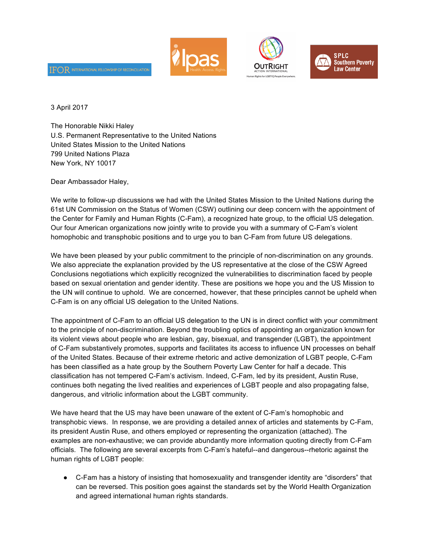





3 April 2017

The Honorable Nikki Haley U.S. Permanent Representative to the United Nations United States Mission to the United Nations 799 United Nations Plaza New York, NY 10017

Dear Ambassador Haley,

 $\operatorname{IFOR}$  international fellowship of reconciliati

We write to follow-up discussions we had with the United States Mission to the United Nations during the 61st UN Commission on the Status of Women (CSW) outlining our deep concern with the appointment of the Center for Family and Human Rights (C-Fam), a recognized hate group, to the official US delegation. Our four American organizations now jointly write to provide you with a summary of C-Fam's violent homophobic and transphobic positions and to urge you to ban C-Fam from future US delegations.

We have been pleased by your public commitment to the principle of non-discrimination on any grounds. We also appreciate the explanation provided by the US representative at the close of the CSW Agreed Conclusions negotiations which explicitly recognized the vulnerabilities to discrimination faced by people based on sexual orientation and gender identity. These are positions we hope you and the US Mission to the UN will continue to uphold. We are concerned, however, that these principles cannot be upheld when C-Fam is on any official US delegation to the United Nations.

The appointment of C-Fam to an official US delegation to the UN is in direct conflict with your commitment to the principle of non-discrimination. Beyond the troubling optics of appointing an organization known for its violent views about people who are lesbian, gay, bisexual, and transgender (LGBT), the appointment of C-Fam substantively promotes, supports and facilitates its access to influence UN processes on behalf of the United States. Because of their extreme rhetoric and active demonization of LGBT people, C-Fam has been classified as a hate group by the Southern Poverty Law Center for half a decade. This classification has not tempered C-Fam's activism. Indeed, C-Fam, led by its president, Austin Ruse, continues both negating the lived realities and experiences of LGBT people and also propagating false, dangerous, and vitriolic information about the LGBT community.

We have heard that the US may have been unaware of the extent of C-Fam's homophobic and transphobic views. In response, we are providing a detailed annex of articles and statements by C-Fam, its president Austin Ruse, and others employed or representing the organization (attached). The examples are non-exhaustive; we can provide abundantly more information quoting directly from C-Fam officials. The following are several excerpts from C-Fam's hateful--and dangerous--rhetoric against the human rights of LGBT people:

● C-Fam has a history of insisting that homosexuality and transgender identity are "disorders" that can be reversed. This position goes against the standards set by the World Health Organization and agreed international human rights standards.